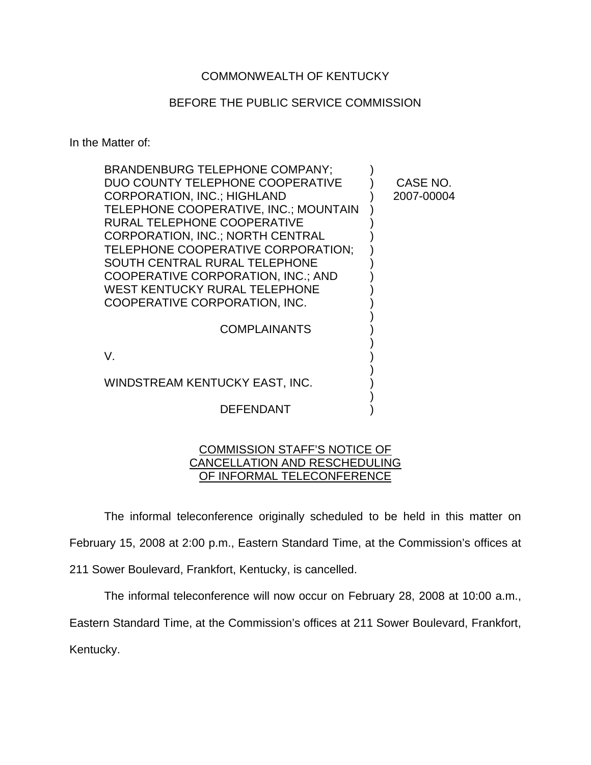## COMMONWEALTH OF KENTUCKY

## BEFORE THE PUBLIC SERVICE COMMISSION

In the Matter of:

| <b>BRANDENBURG TELEPHONE COMPANY:</b>                                 |            |
|-----------------------------------------------------------------------|------------|
| DUO COUNTY TELEPHONE COOPERATIVE                                      | CASE NO.   |
| <b>CORPORATION, INC.; HIGHLAND</b>                                    | 2007-00004 |
| TELEPHONE COOPERATIVE, INC.; MOUNTAIN                                 |            |
| RURAL TELEPHONE COOPERATIVE                                           |            |
| <b>CORPORATION, INC.; NORTH CENTRAL</b>                               |            |
| TELEPHONE COOPERATIVE CORPORATION;                                    |            |
| SOUTH CENTRAL RURAL TELEPHONE                                         |            |
| COOPERATIVE CORPORATION, INC.; AND                                    |            |
| <b>WEST KENTUCKY RURAL TELEPHONE</b><br>COOPERATIVE CORPORATION, INC. |            |
|                                                                       |            |
| <b>COMPLAINANTS</b>                                                   |            |
|                                                                       |            |
| V.                                                                    |            |
|                                                                       |            |
| WINDSTREAM KENTUCKY EAST, INC.                                        |            |
| <b>DEFENDANT</b>                                                      |            |
|                                                                       |            |

## COMMISSION STAFF'S NOTICE OF CANCELLATION AND RESCHEDULING OF INFORMAL TELECONFERENCE

The informal teleconference originally scheduled to be held in this matter on

February 15, 2008 at 2:00 p.m., Eastern Standard Time, at the Commission's offices at

211 Sower Boulevard, Frankfort, Kentucky, is cancelled.

The informal teleconference will now occur on February 28, 2008 at 10:00 a.m.,

Eastern Standard Time, at the Commission's offices at 211 Sower Boulevard, Frankfort,

Kentucky.